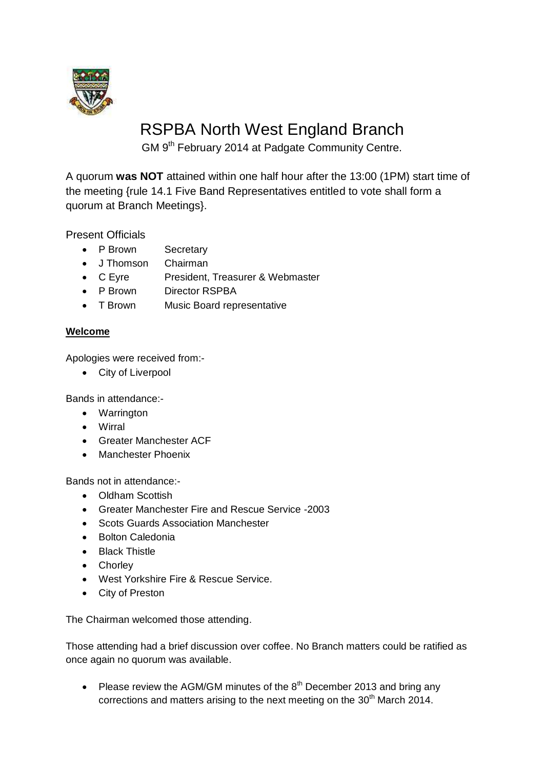

## RSPBA North West England Branch

GM 9<sup>th</sup> February 2014 at Padgate Community Centre.

A quorum **was NOT** attained within one half hour after the 13:00 (1PM) start time of the meeting {rule 14.1 Five Band Representatives entitled to vote shall form a quorum at Branch Meetings}.

Present Officials

- P Brown Secretary
- J Thomson Chairman
- C Eyre President, Treasurer & Webmaster
- P Brown Director RSPBA
- T Brown Music Board representative

## **Welcome**

Apologies were received from:-

City of Liverpool

Bands in attendance:-

- Warrington
- Wirral
- Greater Manchester ACF
- Manchester Phoenix

Bands not in attendance:-

- Oldham Scottish
- Greater Manchester Fire and Rescue Service -2003
- Scots Guards Association Manchester
- Bolton Caledonia
- Black Thistle
- Chorley
- West Yorkshire Fire & Rescue Service.
- City of Preston

The Chairman welcomed those attending.

Those attending had a brief discussion over coffee. No Branch matters could be ratified as once again no quorum was available.

• Please review the AGM/GM minutes of the  $8<sup>th</sup>$  December 2013 and bring any corrections and matters arising to the next meeting on the 30<sup>th</sup> March 2014.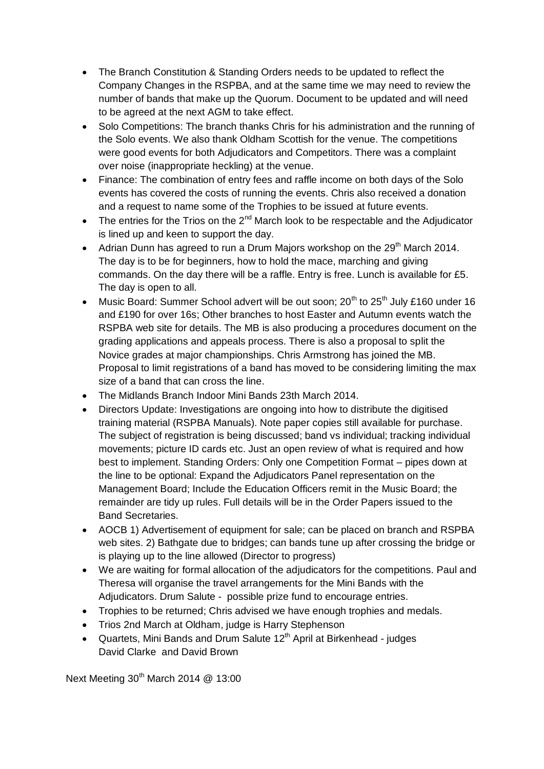- The Branch Constitution & Standing Orders needs to be updated to reflect the Company Changes in the RSPBA, and at the same time we may need to review the number of bands that make up the Quorum. Document to be updated and will need to be agreed at the next AGM to take effect.
- Solo Competitions: The branch thanks Chris for his administration and the running of the Solo events. We also thank Oldham Scottish for the venue. The competitions were good events for both Adjudicators and Competitors. There was a complaint over noise (inappropriate heckling) at the venue.
- Finance: The combination of entry fees and raffle income on both days of the Solo events has covered the costs of running the events. Chris also received a donation and a request to name some of the Trophies to be issued at future events.
- The entries for the Trios on the  $2^{nd}$  March look to be respectable and the Adjudicator is lined up and keen to support the day.
- Adrian Dunn has agreed to run a Drum Majors workshop on the 29<sup>th</sup> March 2014. The day is to be for beginners, how to hold the mace, marching and giving commands. On the day there will be a raffle. Entry is free. Lunch is available for £5. The day is open to all.
- Music Board: Summer School advert will be out soon;  $20^{th}$  to  $25^{th}$  July £160 under 16 and £190 for over 16s; Other branches to host Easter and Autumn events watch the RSPBA web site for details. The MB is also producing a procedures document on the grading applications and appeals process. There is also a proposal to split the Novice grades at major championships. Chris Armstrong has joined the MB. Proposal to limit registrations of a band has moved to be considering limiting the max size of a band that can cross the line.
- The Midlands Branch Indoor Mini Bands 23th March 2014.
- Directors Update: Investigations are ongoing into how to distribute the digitised training material (RSPBA Manuals). Note paper copies still available for purchase. The subject of registration is being discussed; band vs individual; tracking individual movements; picture ID cards etc. Just an open review of what is required and how best to implement. Standing Orders: Only one Competition Format – pipes down at the line to be optional: Expand the Adjudicators Panel representation on the Management Board; Include the Education Officers remit in the Music Board; the remainder are tidy up rules. Full details will be in the Order Papers issued to the Band Secretaries.
- AOCB 1) Advertisement of equipment for sale; can be placed on branch and RSPBA web sites. 2) Bathgate due to bridges; can bands tune up after crossing the bridge or is playing up to the line allowed (Director to progress)
- We are waiting for formal allocation of the adjudicators for the competitions. Paul and Theresa will organise the travel arrangements for the Mini Bands with the Adjudicators. Drum Salute - possible prize fund to encourage entries.
- Trophies to be returned; Chris advised we have enough trophies and medals.
- Trios 2nd March at Oldham, judge is Harry Stephenson
- Quartets, Mini Bands and Drum Salute 12<sup>th</sup> April at Birkenhead judges David Clarke and David Brown

Next Meeting  $30<sup>th</sup>$  March 2014 @ 13:00